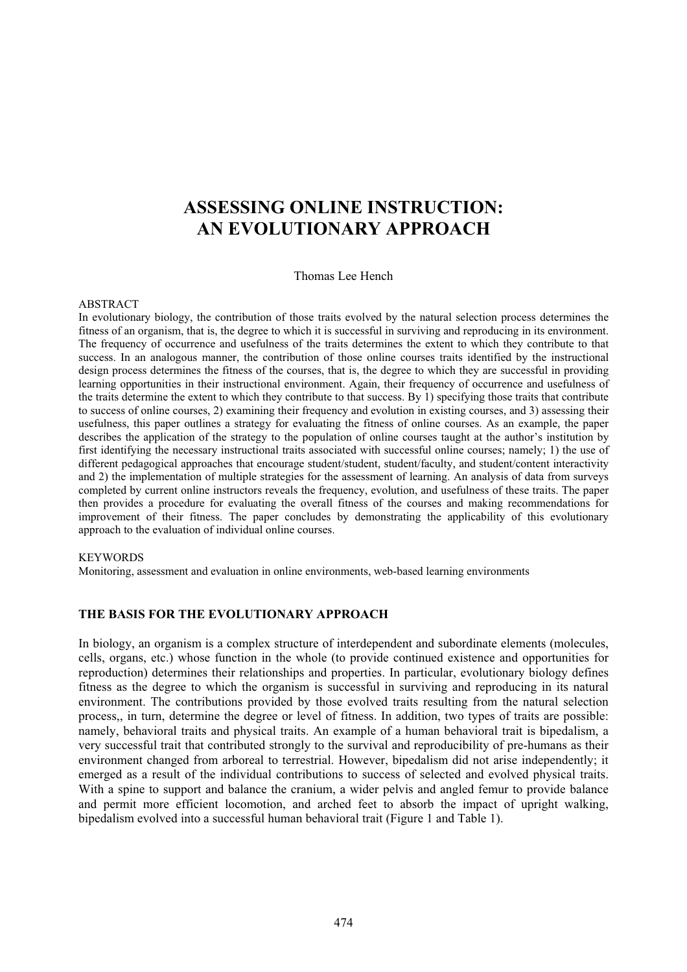# **ASSESSING ONLINE INSTRUCTION: AN EVOLUTIONARY APPROACH**

Thomas Lee Hench

#### ABSTRACT

In evolutionary biology, the contribution of those traits evolved by the natural selection process determines the fitness of an organism, that is, the degree to which it is successful in surviving and reproducing in its environment. The frequency of occurrence and usefulness of the traits determines the extent to which they contribute to that success. In an analogous manner, the contribution of those online courses traits identified by the instructional design process determines the fitness of the courses, that is, the degree to which they are successful in providing learning opportunities in their instructional environment. Again, their frequency of occurrence and usefulness of the traits determine the extent to which they contribute to that success. By 1) specifying those traits that contribute to success of online courses, 2) examining their frequency and evolution in existing courses, and 3) assessing their usefulness, this paper outlines a strategy for evaluating the fitness of online courses. As an example, the paper describes the application of the strategy to the population of online courses taught at the author's institution by first identifying the necessary instructional traits associated with successful online courses; namely; 1) the use of different pedagogical approaches that encourage student/student, student/faculty, and student/content interactivity and 2) the implementation of multiple strategies for the assessment of learning. An analysis of data from surveys completed by current online instructors reveals the frequency, evolution, and usefulness of these traits. The paper then provides a procedure for evaluating the overall fitness of the courses and making recommendations for improvement of their fitness. The paper concludes by demonstrating the applicability of this evolutionary approach to the evaluation of individual online courses.

#### **KEYWORDS**

Monitoring, assessment and evaluation in online environments, web-based learning environments

### **THE BASIS FOR THE EVOLUTIONARY APPROACH**

In biology, an organism is a complex structure of interdependent and subordinate elements (molecules, cells, organs, etc.) whose function in the whole (to provide continued existence and opportunities for reproduction) determines their relationships and properties. In particular, evolutionary biology defines fitness as the degree to which the organism is successful in surviving and reproducing in its natural environment. The contributions provided by those evolved traits resulting from the natural selection process,, in turn, determine the degree or level of fitness. In addition, two types of traits are possible: namely, behavioral traits and physical traits. An example of a human behavioral trait is bipedalism, a very successful trait that contributed strongly to the survival and reproducibility of pre-humans as their environment changed from arboreal to terrestrial. However, bipedalism did not arise independently; it emerged as a result of the individual contributions to success of selected and evolved physical traits. With a spine to support and balance the cranium, a wider pelvis and angled femur to provide balance and permit more efficient locomotion, and arched feet to absorb the impact of upright walking, bipedalism evolved into a successful human behavioral trait (Figure 1 and Table 1).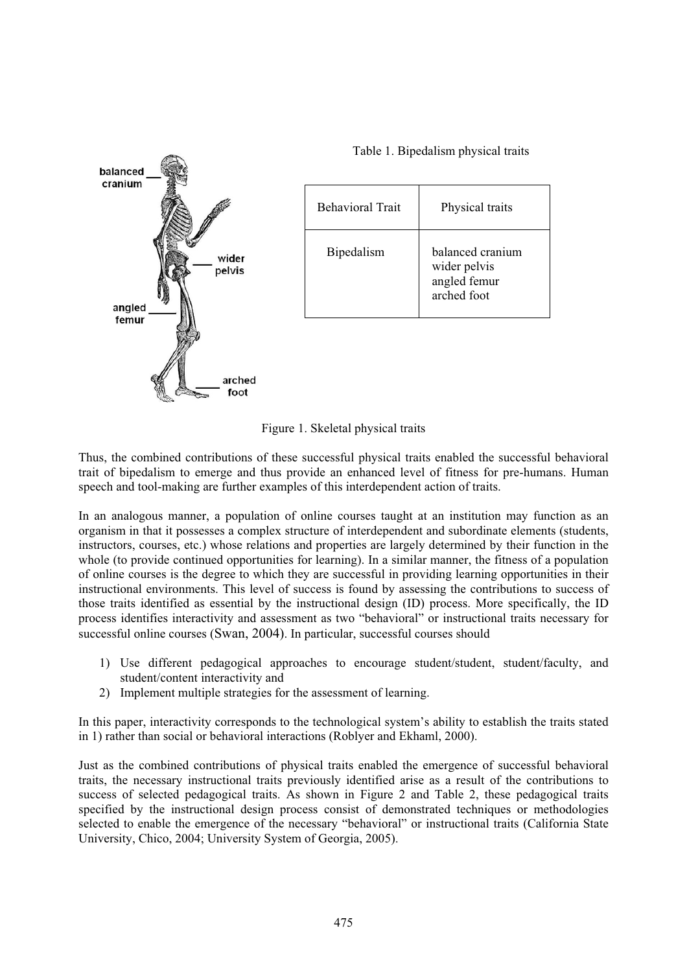

Table 1. Bipedalism physical traits



Thus, the combined contributions of these successful physical traits enabled the successful behavioral trait of bipedalism to emerge and thus provide an enhanced level of fitness for pre-humans. Human speech and tool-making are further examples of this interdependent action of traits.

In an analogous manner, a population of online courses taught at an institution may function as an organism in that it possesses a complex structure of interdependent and subordinate elements (students, instructors, courses, etc.) whose relations and properties are largely determined by their function in the whole (to provide continued opportunities for learning). In a similar manner, the fitness of a population of online courses is the degree to which they are successful in providing learning opportunities in their instructional environments. This level of success is found by assessing the contributions to success of those traits identified as essential by the instructional design (ID) process. More specifically, the ID process identifies interactivity and assessment as two "behavioral" or instructional traits necessary for successful online courses (Swan, 2004). In particular, successful courses should

- 1) Use different pedagogical approaches to encourage student/student, student/faculty, and student/content interactivity and
- 2) Implement multiple strategies for the assessment of learning.

In this paper, interactivity corresponds to the technological system's ability to establish the traits stated in 1) rather than social or behavioral interactions (Roblyer and Ekhaml, 2000).

Just as the combined contributions of physical traits enabled the emergence of successful behavioral traits, the necessary instructional traits previously identified arise as a result of the contributions to success of selected pedagogical traits. As shown in Figure 2 and Table 2, these pedagogical traits specified by the instructional design process consist of demonstrated techniques or methodologies selected to enable the emergence of the necessary "behavioral" or instructional traits (California State University, Chico, 2004; University System of Georgia, 2005).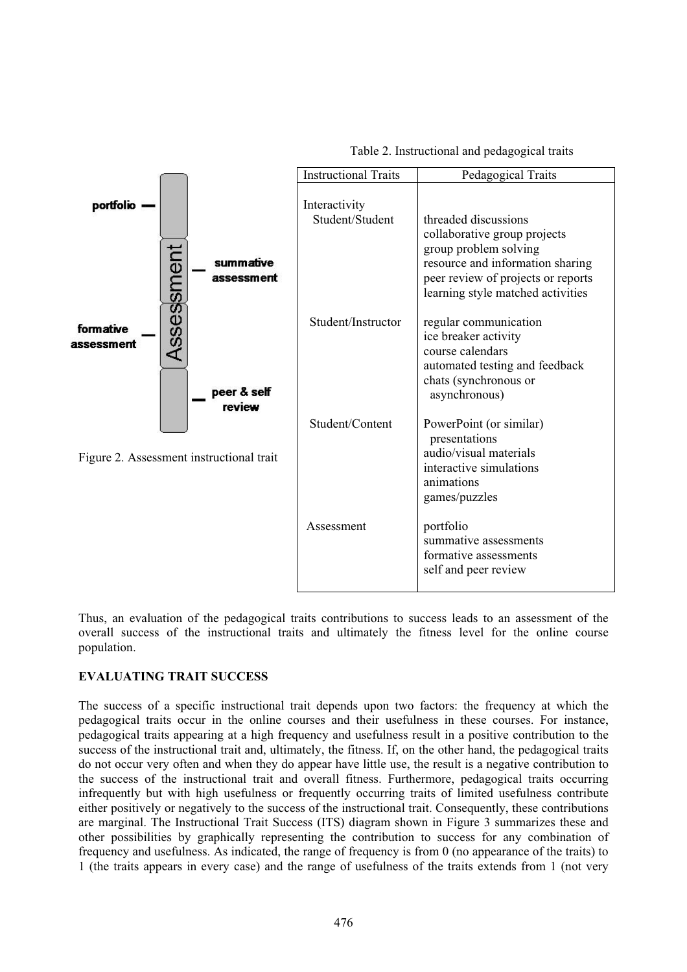| Table 2. Instructional and pedagogical traits |  |
|-----------------------------------------------|--|
|-----------------------------------------------|--|



Thus, an evaluation of the pedagogical traits contributions to success leads to an assessment of the overall success of the instructional traits and ultimately the fitness level for the online course population.

## **VALUATING TRAIT SUCCESS**

The success of a specific instructional trait depends upon two factors: the frequency at which the pedagogical traits occur in the online courses and their usefulness in these courses. For instance, pedagogical traits appearing at a high frequency and usefulness result in a positive contribution to the success of the instructional trait and, ultimately, the fitness. If, on the other hand, the pedagogical traits do not occur very often and when they do appear have little use, the result is a negative contribution to the success of the instructional trait and overall fitness. Furthermore, pedagogical traits occurring infrequently but with high usefulness or frequently occurring traits of limited usefulness contribute either positively or negatively to the success of the instructional trait. Consequently, these contributions are marginal. The Instructional Trait Success (ITS) diagram shown in Figure 3 summarizes these and other possibilities by graphically representing the contribution to success for any combination of frequency and usefulness. As indicated, the range of frequency is from 0 (no appearance of the traits) to 1 (the traits appears in every case) and the range of usefulness of the traits extends from 1 (not very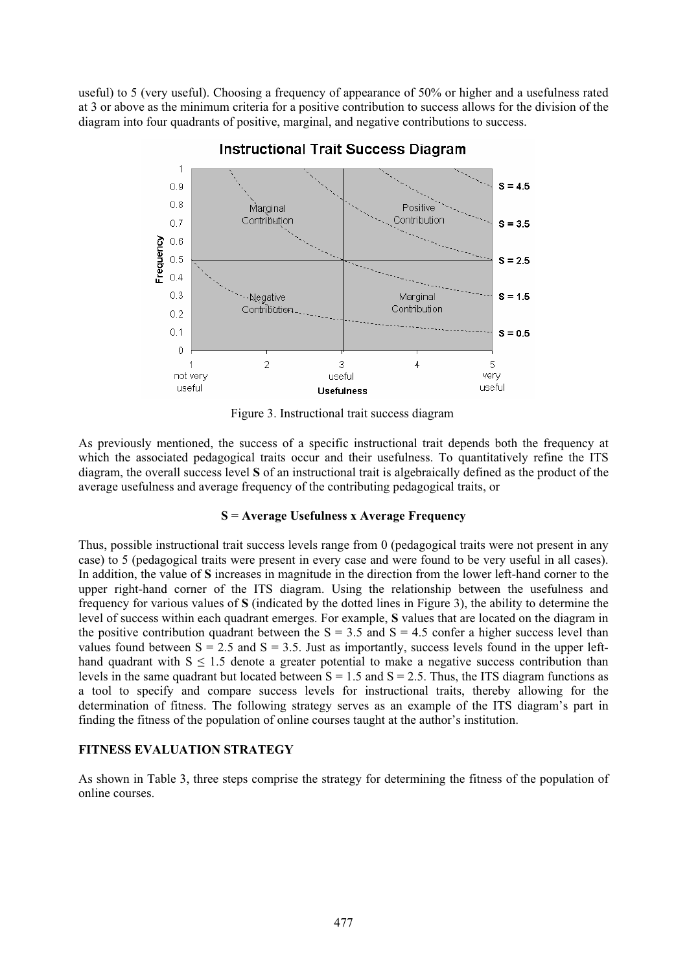useful) to 5 (very useful). Choosing a frequency of appearance of 50% or higher and a usefulness rated at 3 or above as the minimum criteria for a positive contribution to success allows for the division of the diagram into four quadrants of positive, marginal, and negative contributions to success.



#### **Instructional Trait Success Diagram**

Figure 3. Instructional trait success diagram

As previously mentioned, the success of a specific instructional trait depends both the frequency at which the associated pedagogical traits occur and their usefulness. To quantitatively refine the ITS diagram, the overall success level **S** of an instructional trait is algebraically defined as the product of the average usefulness and average frequency of the contributing pedagogical traits, or

### **S = Average Usefulness x Average Frequency**

Thus, possible instructional trait success levels range from 0 (pedagogical traits were not present in any case) to 5 (pedagogical traits were present in every case and were found to be very useful in all cases). In addition, the value of **S** increases in magnitude in the direction from the lower left-hand corner to the upper right-hand corner of the ITS diagram. Using the relationship between the usefulness and frequency for various values of **S** (indicated by the dotted lines in Figure 3), the ability to determine the level of success within each quadrant emerges. For example, **S** values that are located on the diagram in the positive contribution quadrant between the  $S = 3.5$  and  $S = 4.5$  confer a higher success level than values found between  $S = 2.5$  and  $S = 3.5$ . Just as importantly, success levels found in the upper lefthand quadrant with  $S \leq 1.5$  denote a greater potential to make a negative success contribution than levels in the same quadrant but located between  $S = 1.5$  and  $S = 2.5$ . Thus, the ITS diagram functions as a tool to specify and compare success levels for instructional traits, thereby allowing for the determination of fitness. The following strategy serves as an example of the ITS diagram's part in finding the fitness of the population of online courses taught at the author's institution.

### **ITNESS EVALUATION STRATEGY**

As shown in Table 3, three steps comprise the strategy for determining the fitness of the population of online courses.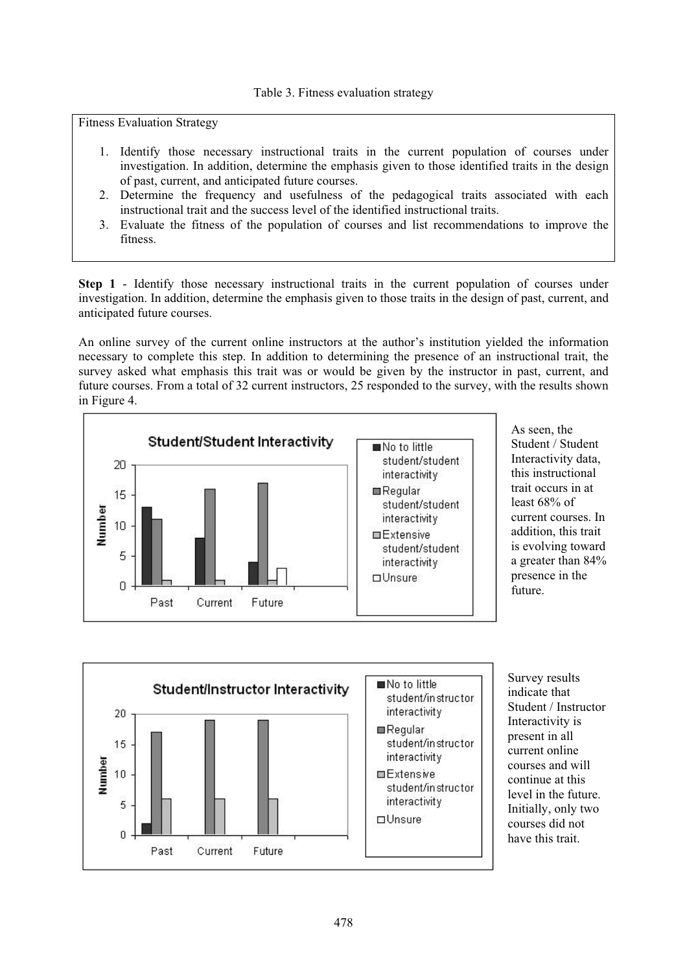Fitness Evaluation Strategy

- 1. Identify those necessary instructional traits in the current population of courses under investigation. In addition, determine the emphasis given to those identified traits in the design of past, current, and anticipated future courses.
- 2. Determine the frequency and usefulness of the pedagogical traits associated with each instructional trait and the success level of the identified instructional traits.
- 3. Evaluate the fitness of the population of courses and list recommendations to improve the fitness.

**Step 1** - Identify those necessary instructional traits in the current population of courses under investigation In addition determine the emphasis given to those traits in the design of past current and investigation. In addition, determine the emphasis given to those traits in the design of past, current, and anticipated future courses.

An online survey of the current online instructors at the author's institution yielded the information necessary to complete this step. In addition to determining the presence of an instructional trait, the survey asked what emphasis this trait was or would be given by the instructor in past, current, and future courses. From a total of 32 current instructors, 25 responded to the survey, with the results shown in Figure 4.



As seen, the Student / Student current courses. In Interactivity data, this instructional trait occurs in at least 68% of addition, this trait is evolving toward a greater than 84% presence in the future.



Survey results Student / Instructor courses and will level in the future. indicate that Interactivity is present in all current online continue at this Initially, only two courses did not have this trait.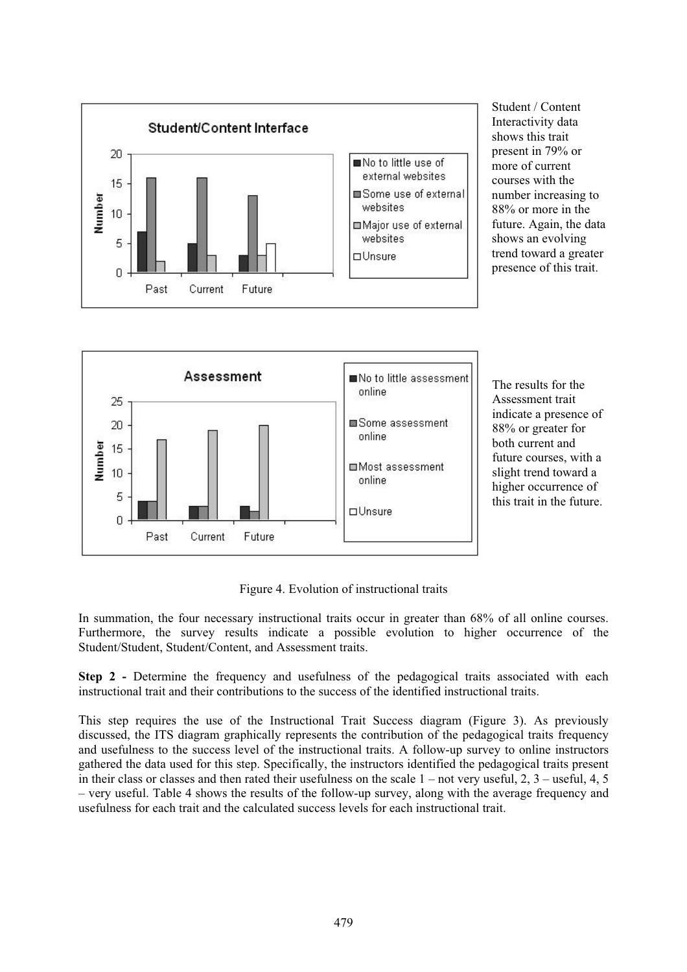

Student / Content present in 79% or number increasing to future. Again, the data trend toward a greater Interactivity data shows this trait more of current courses with the 88% or more in the shows an evolving presence of this trait.



The results for the indicate a presence of future courses, with a this trait in the future. Assessment trait 88% or greater for both current and slight trend toward a higher occurrence of

Figure 4. Evolution of instructional traits

In summation, the four necessary instructional traits occur in greater than 68% of all online courses. Furthermore, the survey results indicate a possible evolution to higher occurrence of the Student/Student, Student/Content, and Assessment traits.

**Step 2** - Determine the frequency and usefulness of the pedagogical traits associated with each **SECONDER THE CONTRACT AND ACCESS** CONTRACT THE **FOREGALIST** INTO ACCESS INTERFERING INSTRUCTIONAL TRAINING INSTRUCTIONAL TRAINING INTERFERING INSTRUCTIONAL TRAINING INTERFERING INSTRUCTIONAL TRAINING INTERFERING IN A LIMI

This step requires the use of the Instructional Trait Success diagram (Figure 3). As previously discussed, the ITS diagram graphically represents the contribution of the pedagogical traits frequency and usefulness to the success level of the instructional traits. A follow-up survey to online instructors gathered the data used for this step. Specifically, the instructors identified the pedagogical traits present in their class or classes and then rated their usefulness on the scale 1 – not very useful, 2, 3 – useful, 4, 5 – very useful. Table 4 shows the results of the follow-up survey, along with the average frequency and usefulness for each trait and the calculated success levels for each instructional trait.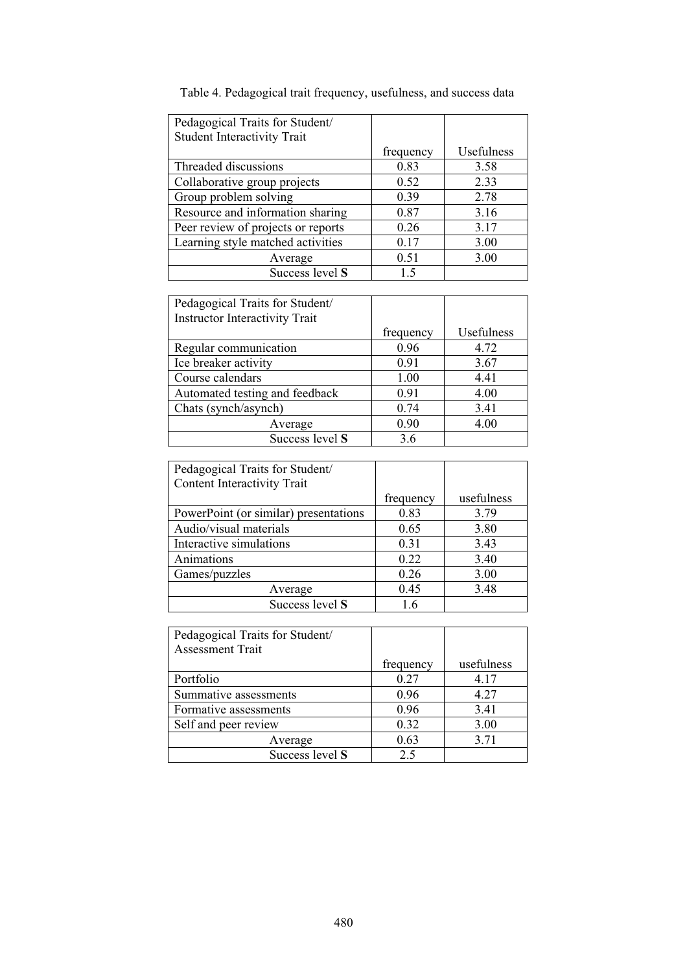| Pedagogical Traits for Student/    |           |            |
|------------------------------------|-----------|------------|
| <b>Student Interactivity Trait</b> |           |            |
|                                    | frequency | Usefulness |
| Threaded discussions               | 0.83      | 3.58       |
| Collaborative group projects       | 0.52      | 2.33       |
| Group problem solving              | 0.39      | 2.78       |
| Resource and information sharing   | 0.87      | 3.16       |
| Peer review of projects or reports | 0.26      | 3.17       |
| Learning style matched activities  | 0.17      | 3.00       |
| Average                            | 0.51      | 3.00       |
| Success level S                    | 1.5       |            |
|                                    |           |            |

Table 4. Pedagogical trait frequency, usefulness, and success data

| frequency | Usefulness |
|-----------|------------|
| 0.96      | 4.72       |
| 0.91      | 3.67       |
| 1.00      | 4.41       |
| 0.91      | 4.00       |
| 0.74      | 3.41       |
| 0.90      | 4.00       |
| 3.6       |            |
|           |            |

| Pedagogical Traits for Student/       |           |            |
|---------------------------------------|-----------|------------|
| Content Interactivity Trait           |           |            |
|                                       | frequency | usefulness |
| PowerPoint (or similar) presentations | 0.83      | 3.79       |
| Audio/visual materials                | 0.65      | 3.80       |
| Interactive simulations               | 0.31      | 3.43       |
| Animations                            | 0.22      | 3.40       |
| Games/puzzles                         | 0.26      | 3.00       |
| Average                               | 0.45      | 3.48       |
| Success level S                       | 16        |            |

| Pedagogical Traits for Student/<br><b>Assessment Trait</b> |           |            |
|------------------------------------------------------------|-----------|------------|
|                                                            | frequency | usefulness |
| Portfolio                                                  | 0.27      | 4.17       |
| Summative assessments                                      | 0.96      | 4.27       |
| Formative assessments                                      | 0.96      | 3.41       |
| Self and peer review                                       | 0.32      | 3.00       |
| Average                                                    | 0.63      | 3.71       |
| Success level S                                            | 2.5       |            |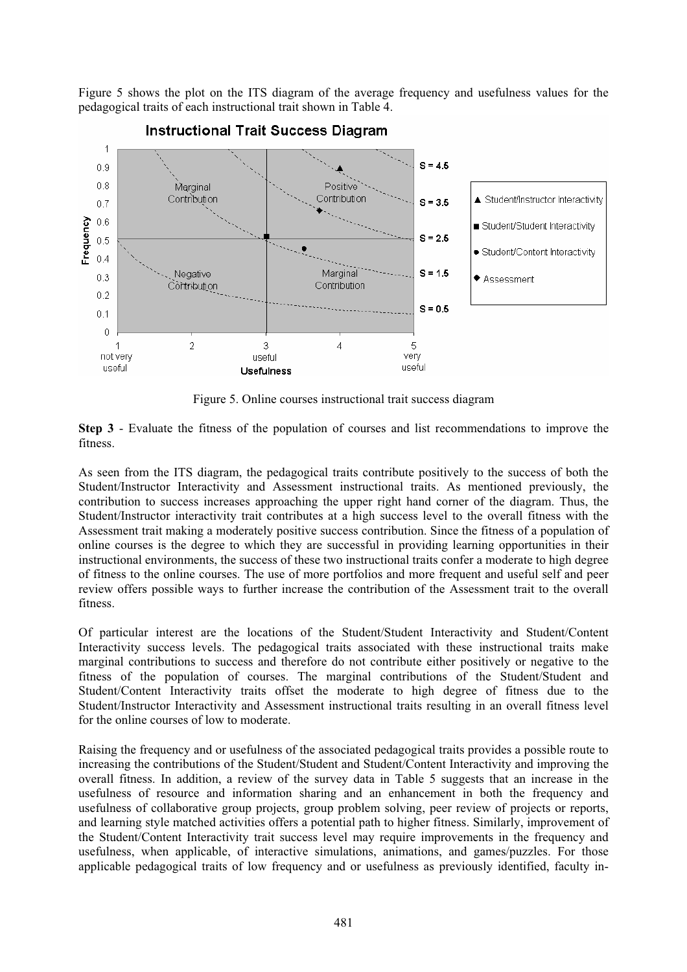Figure 5 shows the plot on the ITS diagram of the average frequency and usefulness values for the pedagogical traits of each instructional trait shown in Table 4.



Figure 5. Online courses instructional trait success diagram

**Step 3** - Evaluate the fitness of the population of courses and list recommendations to improve the fitness.

As seen from the ITS diagram, the pedagogical traits contribute positively to the success of both the Student/Instructor Interactivity and Assessment instructional traits. As mentioned previously, the contribution to success increases approaching the upper right hand corner of the diagram. Thus, the Student/Instructor interactivity trait contributes at a high success level to the overall fitness with the Assessment trait making a moderately positive success contribution. Since the fitness of a population of online courses is the degree to which they are successful in providing learning opportunities in their instructional environments, the success of these two instructional traits confer a moderate to high degree of fitness to the online courses. The use of more portfolios and more frequent and useful self and peer review offers possible ways to further increase the contribution of the Assessment trait to the overall fitness.

Of particular interest are the locations of the Student/Student Interactivity and Student/Content Interactivity success levels. The pedagogical traits associated with these instructional traits make marginal contributions to success and therefore do not contribute either positively or negative to the fitness of the population of courses. The marginal contributions of the Student/Student and Student/Content Interactivity traits offset the moderate to high degree of fitness due to the Student/Instructor Interactivity and Assessment instructional traits resulting in an overall fitness level for the online courses of low to moderate.

Raising the frequency and or usefulness of the associated pedagogical traits provides a possible route to increasing the contributions of the Student/Student and Student/Content Interactivity and improving the overall fitness. In addition, a review of the survey data in Table 5 suggests that an increase in the usefulness of resource and information sharing and an enhancement in both the frequency and usefulness of collaborative group projects, group problem solving, peer review of projects or reports, and learning style matched activities offers a potential path to higher fitness. Similarly, improvement of the Student/Content Interactivity trait success level may require improvements in the frequency and usefulness, when applicable, of interactive simulations, animations, and games/puzzles. For those applicable pedagogical traits of low frequency and or usefulness as previously identified, faculty in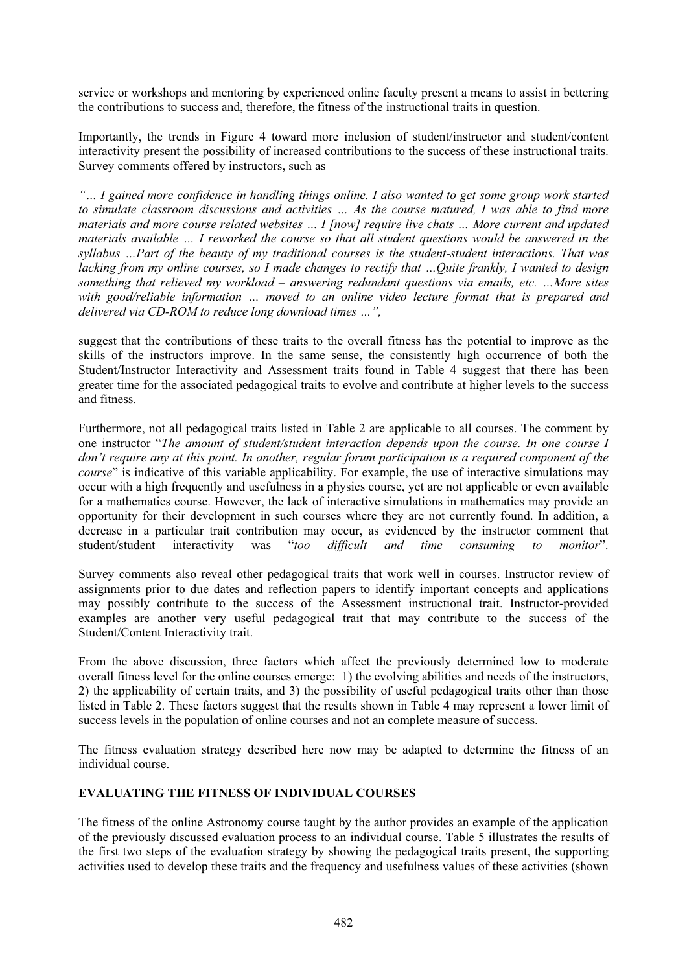service or workshops and mentoring by experienced online faculty present a means to assist in bettering the contributions to success and, therefore, the fitness of the instructional traits in question.

Importantly, the trends in Figure 4 toward more inclusion of student/instructor and student/content interactivity present the possibility of increased contributions to the success of these instructional traits. Survey comments offered by instructors, such as

*"… I gained more confidence in handling things online. I also wanted to get some group work started to simulate classroom discussions and activities … As the course matured, I was able to find more materials and more course related websites … I [now] require live chats … More current and updated materials available … I reworked the course so that all student questions would be answered in the syllabus …Part of the beauty of my traditional courses is the student-student interactions. That was lacking from my online courses, so I made changes to rectify that …Quite frankly, I wanted to design something that relieved my workload – answering redundant questions via emails, etc. …More sites with good/reliable information … moved to an online video lecture format that is prepared and delivered via CD-ROM to reduce long download times …",* 

suggest that the contributions of these traits to the overall fitness has the potential to improve as the skills of the instructors improve. In the same sense, the consistently high occurrence of both the Student/Instructor Interactivity and Assessment traits found in Table 4 suggest that there has been greater time for the associated pedagogical traits to evolve and contribute at higher levels to the success and fitness.

Furthermore, not all pedagogical traits listed in Table 2 are applicable to all courses. The comment by one instructor "*The amount of student/student interaction depends upon the course. In one course I don't require any at this point. In another, regular forum participation is a required component of the course*" is indicative of this variable applicability. For example, the use of interactive simulations may occur with a high frequently and usefulness in a physics course, yet are not applicable or even available for a mathematics course. However, the lack of interactive simulations in mathematics may provide an opportunity for their development in such courses where they are not currently found. In addition, a decrease in a particular trait contribution may occur, as evidenced by the instructor comment that student/student interactivity was "*too difficult and time consuming to monitor*".

Survey comments also reveal other pedagogical traits that work well in courses. Instructor review of assignments prior to due dates and reflection papers to identify important concepts and applications may possibly contribute to the success of the Assessment instructional trait. Instructor-provided examples are another very useful pedagogical trait that may contribute to the success of the Student/Content Interactivity trait.

From the above discussion, three factors which affect the previously determined low to moderate overall fitness level for the online courses emerge: 1) the evolving abilities and needs of the instructors, 2) the applicability of certain traits, and 3) the possibility of useful pedagogical traits other than those listed in Table 2. These factors suggest that the results shown in Table 4 may represent a lower limit of success levels in the population of online courses and not an complete measure of success.

The fitness evaluation strategy described here now may be adapted to determine the fitness of an individual course.

#### **EVALUATING THE FITNESS OF INDIVIDUAL COURSES EVALUATING THE FITNESS OF INDIVIDUAL COURSES**

The fitness of the online Astronomy course taught by the author provides an example of the application of the previously discussed evaluation process to an individual course. Table 5 illustrates the results of the first two steps of the evaluation strategy by showing the pedagogical traits present, the supporting activities used to develop these traits and the frequency and usefulness values of these activities (shown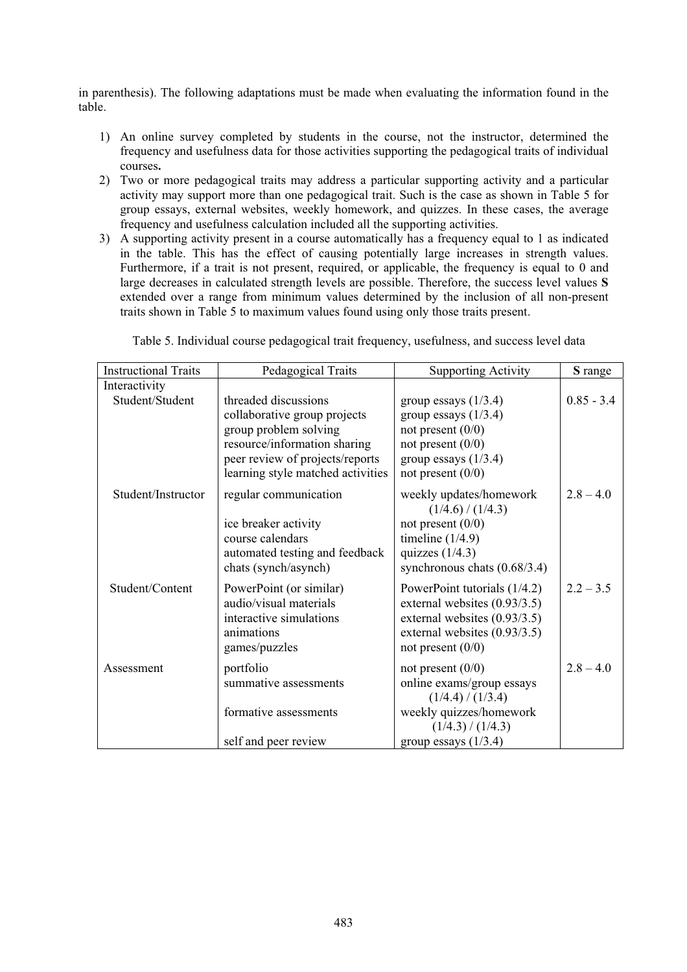in parenthesis). The following adaptations must be made when evaluating the information found in the table.

- 1) An online survey completed by students in the course, not the instructor, determined the frequency and usefulness data for those activities supporting the pedagogical traits of individual courses**.**
- 2) Two or more pedagogical traits may address a particular supporting activity and a particular activity may support more than one pedagogical trait. Such is the case as shown in Table 5 for group essays, external websites, weekly homework, and quizzes. In these cases, the average frequency and usefulness calculation included all the supporting activities.
- 3) A supporting activity present in a course automatically has a frequency equal to 1 as indicated in the table. This has the effect of causing potentially large increases in strength values. Furthermore, if a trait is not present, required, or applicable, the frequency is equal to 0 and large decreases in calculated strength levels are possible. Therefore, the success level values **S** extended over a range from minimum values determined by the inclusion of all non-present traits shown in Table 5 to maximum values found using only those traits present.

| <b>Instructional Traits</b> | Pedagogical Traits                                    | <b>Supporting Activity</b>                                   | S range      |
|-----------------------------|-------------------------------------------------------|--------------------------------------------------------------|--------------|
| Interactivity               |                                                       |                                                              |              |
| Student/Student             | threaded discussions                                  | group essays $(1/3.4)$                                       | $0.85 - 3.4$ |
|                             | collaborative group projects<br>group problem solving | group essays $(1/3.4)$<br>not present $(0/0)$                |              |
|                             | resource/information sharing                          | not present $(0/0)$                                          |              |
|                             | peer review of projects/reports                       | group essays $(1/3.4)$                                       |              |
|                             | learning style matched activities                     | not present $(0/0)$                                          |              |
| Student/Instructor          | regular communication                                 | weekly updates/homework<br>(1/4.6) / (1/4.3)                 | $2.8 - 4.0$  |
|                             | ice breaker activity                                  | not present $(0/0)$                                          |              |
|                             | course calendars                                      | timeline $(1/4.9)$                                           |              |
|                             | automated testing and feedback                        | quizzes $(1/4.3)$                                            |              |
|                             | chats (synch/asynch)                                  | synchronous chats (0.68/3.4)                                 |              |
| Student/Content             | PowerPoint (or similar)                               | PowerPoint tutorials $(1/4.2)$                               | $2.2 - 3.5$  |
|                             | audio/visual materials<br>interactive simulations     | external websites (0.93/3.5)<br>external websites (0.93/3.5) |              |
|                             | animations                                            | external websites (0.93/3.5)                                 |              |
|                             | games/puzzles                                         | not present $(0/0)$                                          |              |
| Assessment                  | portfolio                                             | not present $(0/0)$                                          | $2.8 - 4.0$  |
|                             | summative assessments                                 | online exams/group essays                                    |              |
|                             |                                                       | (1/4.4)/(1/3.4)                                              |              |
|                             | formative assessments                                 | weekly quizzes/homework<br>(1/4.3)/(1/4.3)                   |              |
|                             | self and peer review                                  | group essays $(1/3.4)$                                       |              |
|                             |                                                       |                                                              |              |

Table 5. Individual course pedagogical trait frequency, usefulness, and success level data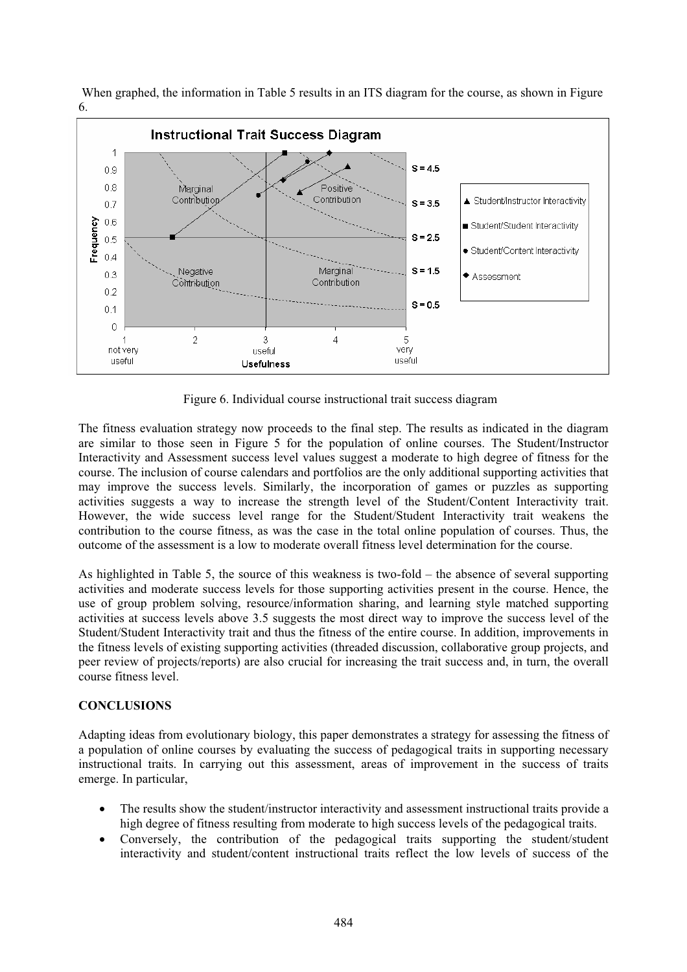When graphed, the information in Table 5 results in an ITS diagram for the course, as shown in Figure 6.



Figure 6. Individual course instructional trait success diagram

The fitness evaluation strategy now proceeds to the final step. The results as indicated in the diagram are similar to those seen in Figure 5 for the population of online courses. The Student/Instructor Interactivity and Assessment success level values suggest a moderate to high degree of fitness for the course. The inclusion of course calendars and portfolios are the only additional supporting activities that may improve the success levels. Similarly, the incorporation of games or puzzles as supporting activities suggests a way to increase the strength level of the Student/Content Interactivity trait. However, the wide success level range for the Student/Student Interactivity trait weakens the contribution to the course fitness, as was the case in the total online population of courses. Thus, the outcome of the assessment is a low to moderate overall fitness level determination for the course.

As highlighted in Table 5, the source of this weakness is two-fold – the absence of several supporting activities and moderate success levels for those supporting activities present in the course. Hence, the use of group problem solving, resource/information sharing, and learning style matched supporting activities at success levels above 3.5 suggests the most direct way to improve the success level of the Student/Student Interactivity trait and thus the fitness of the entire course. In addition, improvements in the fitness levels of existing supporting activities (threaded discussion, collaborative group projects, and peer review of projects/reports) are also crucial for increasing the trait success and, in turn, the overall course fitness level.

#### **CONCLUSIONS CONCLUSIONS**

Adapting ideas from evolutionary biology, this paper demonstrates a strategy for assessing the fitness of a population of online courses by evaluating the success of pedagogical traits in supporting necessary instructional traits. In carrying out this assessment, areas of improvement in the success of traits emerge. In particular,

- $\bullet$  The results show the student/instructor interactivity and assessment instructional traits provide a high degree of fitness resulting from moderate to high success levels of the pedagogical traits.
- - Conversely, the contribution of the pedagogical traits supporting the student/student interactivity and student/content instructional traits reflect the low levels of success of the